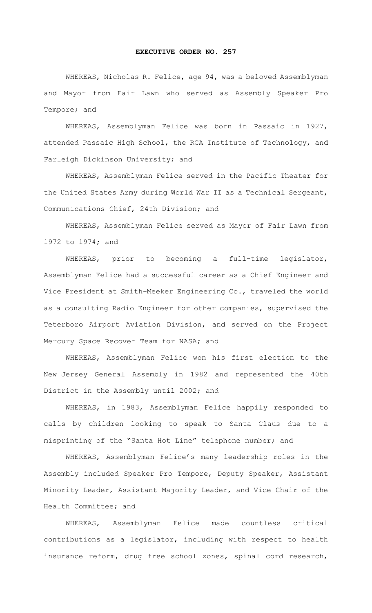## **EXECUTIVE ORDER NO. 257**

WHEREAS, Nicholas R. Felice, age 94, was a beloved Assemblyman and Mayor from Fair Lawn who served as Assembly Speaker Pro Tempore; and

WHEREAS, Assemblyman Felice was born in Passaic in 1927, attended Passaic High School, the RCA Institute of Technology, and Farleigh Dickinson University; and

WHEREAS, Assemblyman Felice served in the Pacific Theater for the United States Army during World War II as a Technical Sergeant, Communications Chief, 24th Division; and

WHEREAS, Assemblyman Felice served as Mayor of Fair Lawn from 1972 to 1974; and

WHEREAS, prior to becoming a full-time legislator, Assemblyman Felice had a successful career as a Chief Engineer and Vice President at Smith-Meeker Engineering Co., traveled the world as a consulting Radio Engineer for other companies, supervised the Teterboro Airport Aviation Division, and served on the Project Mercury Space Recover Team for NASA; and

WHEREAS, Assemblyman Felice won his first election to the New Jersey General Assembly in 1982 and represented the 40th District in the Assembly until 2002; and

WHEREAS, in 1983, Assemblyman Felice happily responded to calls by children looking to speak to Santa Claus due to a misprinting of the "Santa Hot Line" telephone number; and

WHEREAS, Assemblyman Felice's many leadership roles in the Assembly included Speaker Pro Tempore, Deputy Speaker, Assistant Minority Leader, Assistant Majority Leader, and Vice Chair of the Health Committee; and

WHEREAS, Assemblyman Felice made countless critical contributions as a legislator, including with respect to health insurance reform, drug free school zones, spinal cord research,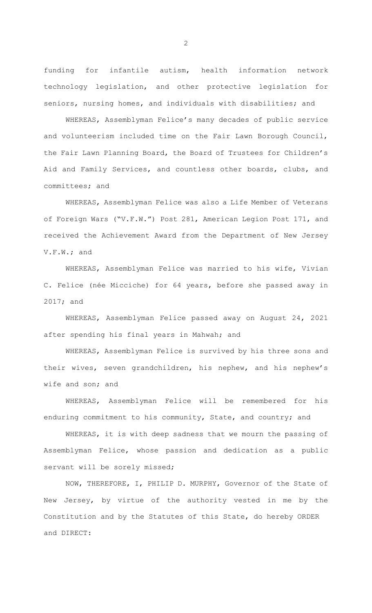funding for infantile autism, health information network technology legislation, and other protective legislation for seniors, nursing homes, and individuals with disabilities; and

WHEREAS, Assemblyman Felice's many decades of public service and volunteerism included time on the Fair Lawn Borough Council, the Fair Lawn Planning Board, the Board of Trustees for Children's Aid and Family Services, and countless other boards, clubs, and committees; and

WHEREAS, Assemblyman Felice was also a Life Member of Veterans of Foreign Wars ("V.F.W.") Post 281, American Legion Post 171, and received the Achievement Award from the Department of New Jersey V.F.W.; and

WHEREAS, Assemblyman Felice was married to his wife, Vivian C. Felice (née Micciche) for 64 years, before she passed away in 2017; and

WHEREAS, Assemblyman Felice passed away on August 24, 2021 after spending his final years in Mahwah; and

WHEREAS, Assemblyman Felice is survived by his three sons and their wives, seven grandchildren, his nephew, and his nephew's wife and son; and

WHEREAS, Assemblyman Felice will be remembered for his enduring commitment to his community, State, and country; and

WHEREAS, it is with deep sadness that we mourn the passing of Assemblyman Felice, whose passion and dedication as a public servant will be sorely missed;

 NOW, THEREFORE, I, PHILIP D. MURPHY, Governor of the State of New Jersey, by virtue of the authority vested in me by the Constitution and by the Statutes of this State, do hereby ORDER and DIRECT:

2